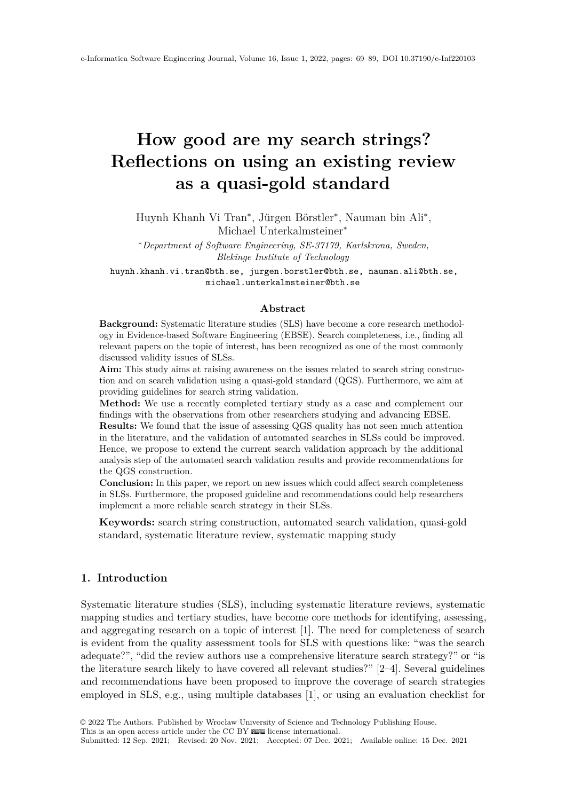# <span id="page-0-0"></span>**How good are my search strings? Reflections on using an existing review as a quasi-gold standard**

Huynh Khanh Vi Tran<sup>∗</sup> , Jürgen Börstler<sup>∗</sup> , Nauman bin Ali<sup>∗</sup> , Michael Unterkalmsteiner<sup>∗</sup>

<sup>∗</sup>*Department of Software Engineering, SE-37179, Karlskrona, Sweden, Blekinge Institute of Technology*

huynh.khanh.vi.tran@bth.se, jurgen.borstler@bth.se, nauman.ali@bth.se, michael.unterkalmsteiner@bth.se

## **Abstract**

**Background:** Systematic literature studies (SLS) have become a core research methodology in Evidence-based Software Engineering (EBSE). Search completeness, i.e., finding all relevant papers on the topic of interest, has been recognized as one of the most commonly discussed validity issues of SLSs.

**Aim:** This study aims at raising awareness on the issues related to search string construction and on search validation using a quasi-gold standard (QGS). Furthermore, we aim at providing guidelines for search string validation.

**Method:** We use a recently completed tertiary study as a case and complement our findings with the observations from other researchers studying and advancing EBSE.

**Results:** We found that the issue of assessing QGS quality has not seen much attention in the literature, and the validation of automated searches in SLSs could be improved. Hence, we propose to extend the current search validation approach by the additional analysis step of the automated search validation results and provide recommendations for the QGS construction.

**Conclusion:** In this paper, we report on new issues which could affect search completeness in SLSs. Furthermore, the proposed guideline and recommendations could help researchers implement a more reliable search strategy in their SLSs.

**Keywords:** search string construction, automated search validation, quasi-gold standard, systematic literature review, systematic mapping study

# **1. Introduction**

Systematic literature studies (SLS), including systematic literature reviews, systematic mapping studies and tertiary studies, have become core methods for identifying, assessing, and aggregating research on a topic of interest [\[1\]](#page-17-0). The need for completeness of search is evident from the quality assessment tools for SLS with questions like: "was the search adequate?", "did the review authors use a comprehensive literature search strategy?" or "is the literature search likely to have covered all relevant studies?" [\[2–](#page-17-1)[4\]](#page-17-2). Several guidelines and recommendations have been proposed to improve the coverage of search strategies employed in SLS, e.g., using multiple databases [\[1\]](#page-17-0), or using an evaluation checklist for

This is an open access article under the CC BY  $\circledast$  [license international.](http://creativecommons.org/licenses/by/4.0/)

Submitted: 12 Sep. 2021; Revised: 20 Nov. 2021; Accepted: 07 Dec. 2021; Available online: 15 Dec. 2021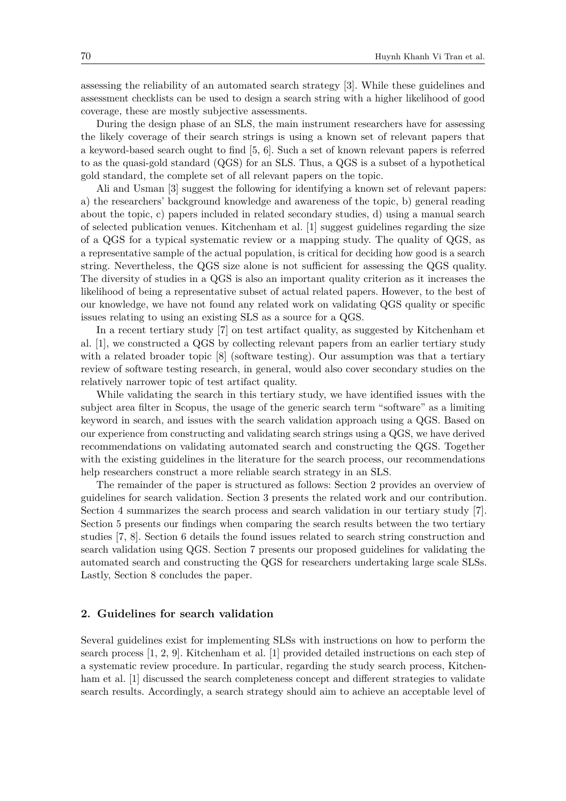assessing the reliability of an automated search strategy [\[3\]](#page-17-3). While these guidelines and assessment checklists can be used to design a search string with a higher likelihood of good coverage, these are mostly subjective assessments.

During the design phase of an SLS, the main instrument researchers have for assessing the likely coverage of their search strings is using a known set of relevant papers that a keyword-based search ought to find [\[5,](#page-17-4) [6\]](#page-17-5). Such a set of known relevant papers is referred to as the quasi-gold standard (QGS) for an SLS. Thus, a QGS is a subset of a hypothetical gold standard, the complete set of all relevant papers on the topic.

Ali and Usman [\[3\]](#page-17-3) suggest the following for identifying a known set of relevant papers: a) the researchers' background knowledge and awareness of the topic, b) general reading about the topic, c) papers included in related secondary studies, d) using a manual search of selected publication venues. Kitchenham et al. [\[1\]](#page-17-0) suggest guidelines regarding the size of a QGS for a typical systematic review or a mapping study. The quality of QGS, as a representative sample of the actual population, is critical for deciding how good is a search string. Nevertheless, the QGS size alone is not sufficient for assessing the QGS quality. The diversity of studies in a QGS is also an important quality criterion as it increases the likelihood of being a representative subset of actual related papers. However, to the best of our knowledge, we have not found any related work on validating QGS quality or specific issues relating to using an existing SLS as a source for a QGS.

In a recent tertiary study [\[7\]](#page-18-0) on test artifact quality, as suggested by Kitchenham et al. [\[1\]](#page-17-0), we constructed a QGS by collecting relevant papers from an earlier tertiary study with a related broader topic [\[8\]](#page-18-1) (software testing). Our assumption was that a tertiary review of software testing research, in general, would also cover secondary studies on the relatively narrower topic of test artifact quality.

While validating the search in this tertiary study, we have identified issues with the subject area filter in Scopus, the usage of the generic search term "software" as a limiting keyword in search, and issues with the search validation approach using a QGS. Based on our experience from constructing and validating search strings using a QGS, we have derived recommendations on validating automated search and constructing the QGS. Together with the existing guidelines in the literature for the search process, our recommendations help researchers construct a more reliable search strategy in an SLS.

The remainder of the paper is structured as follows: Section [2](#page-1-0) provides an overview of guidelines for search validation. Section [3](#page-2-0) presents the related work and our contribution. Section [4](#page-4-0) summarizes the search process and search validation in our tertiary study [\[7\]](#page-18-0). Section [5](#page-10-0) presents our findings when comparing the search results between the two tertiary studies [\[7,](#page-18-0) [8\]](#page-18-1). Section [6](#page-11-0) details the found issues related to search string construction and search validation using QGS. Section [7](#page-13-0) presents our proposed guidelines for validating the automated search and constructing the QGS for researchers undertaking large scale SLSs. Lastly, Section [8](#page-17-6) concludes the paper.

## <span id="page-1-0"></span>**2. Guidelines for search validation**

Several guidelines exist for implementing SLSs with instructions on how to perform the search process [\[1,](#page-17-0) [2,](#page-17-1) [9\]](#page-18-2). Kitchenham et al. [\[1\]](#page-17-0) provided detailed instructions on each step of a systematic review procedure. In particular, regarding the study search process, Kitchenham et al. [\[1\]](#page-17-0) discussed the search completeness concept and different strategies to validate search results. Accordingly, a search strategy should aim to achieve an acceptable level of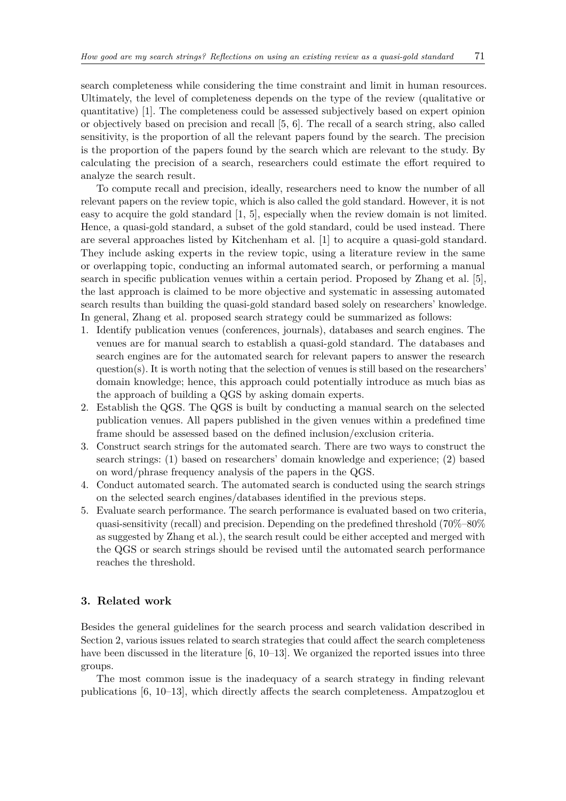search completeness while considering the time constraint and limit in human resources. Ultimately, the level of completeness depends on the type of the review (qualitative or quantitative) [\[1\]](#page-17-0). The completeness could be assessed subjectively based on expert opinion or objectively based on precision and recall [\[5,](#page-17-4) [6\]](#page-17-5). The recall of a search string, also called sensitivity, is the proportion of all the relevant papers found by the search. The precision is the proportion of the papers found by the search which are relevant to the study. By calculating the precision of a search, researchers could estimate the effort required to analyze the search result.

To compute recall and precision, ideally, researchers need to know the number of all relevant papers on the review topic, which is also called the gold standard. However, it is not easy to acquire the gold standard [\[1,](#page-17-0) [5\]](#page-17-4), especially when the review domain is not limited. Hence, a quasi-gold standard, a subset of the gold standard, could be used instead. There are several approaches listed by Kitchenham et al. [\[1\]](#page-17-0) to acquire a quasi-gold standard. They include asking experts in the review topic, using a literature review in the same or overlapping topic, conducting an informal automated search, or performing a manual search in specific publication venues within a certain period. Proposed by Zhang et al. [\[5\]](#page-17-4), the last approach is claimed to be more objective and systematic in assessing automated search results than building the quasi-gold standard based solely on researchers' knowledge. In general, Zhang et al. proposed search strategy could be summarized as follows:

- 1. Identify publication venues (conferences, journals), databases and search engines. The venues are for manual search to establish a quasi-gold standard. The databases and search engines are for the automated search for relevant papers to answer the research question(s). It is worth noting that the selection of venues is still based on the researchers' domain knowledge; hence, this approach could potentially introduce as much bias as the approach of building a QGS by asking domain experts.
- 2. Establish the QGS. The QGS is built by conducting a manual search on the selected publication venues. All papers published in the given venues within a predefined time frame should be assessed based on the defined inclusion/exclusion criteria.
- 3. Construct search strings for the automated search. There are two ways to construct the search strings: (1) based on researchers' domain knowledge and experience; (2) based on word/phrase frequency analysis of the papers in the QGS.
- 4. Conduct automated search. The automated search is conducted using the search strings on the selected search engines/databases identified in the previous steps.
- 5. Evaluate search performance. The search performance is evaluated based on two criteria, quasi-sensitivity (recall) and precision. Depending on the predefined threshold (70%–80% as suggested by Zhang et al.), the search result could be either accepted and merged with the QGS or search strings should be revised until the automated search performance reaches the threshold.

## <span id="page-2-0"></span>**3. Related work**

Besides the general guidelines for the search process and search validation described in Section [2,](#page-1-0) various issues related to search strategies that could affect the search completeness have been discussed in the literature [\[6,](#page-17-5) [10](#page-18-3)[–13\]](#page-18-4). We organized the reported issues into three groups.

The most common issue is the inadequacy of a search strategy in finding relevant publications [\[6,](#page-17-5) [10–](#page-18-3)[13\]](#page-18-4), which directly affects the search completeness. Ampatzoglou et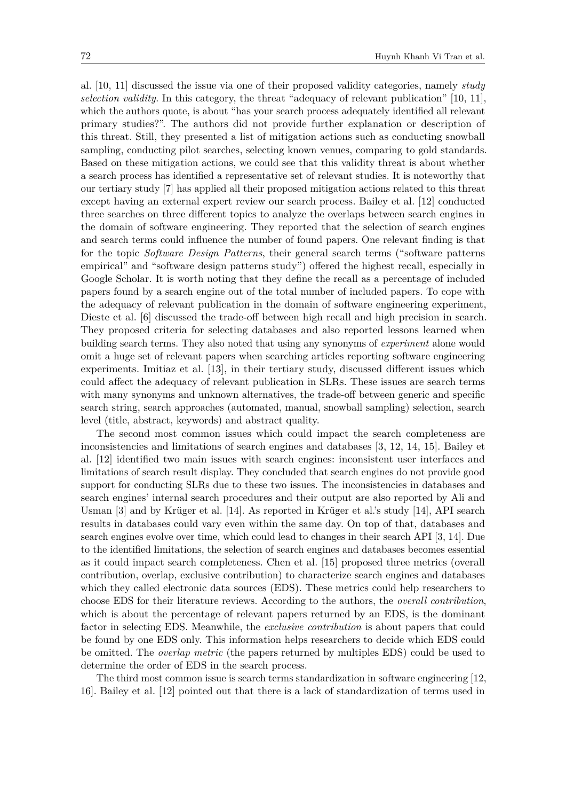al. [\[10,](#page-18-3) [11\]](#page-18-5) discussed the issue via one of their proposed validity categories, namely *study selection validity*. In this category, the threat "adequacy of relevant publication" [\[10,](#page-18-3) [11\]](#page-18-5), which the authors quote, is about "has your search process adequately identified all relevant primary studies?". The authors did not provide further explanation or description of this threat. Still, they presented a list of mitigation actions such as conducting snowball sampling, conducting pilot searches, selecting known venues, comparing to gold standards. Based on these mitigation actions, we could see that this validity threat is about whether a search process has identified a representative set of relevant studies. It is noteworthy that our tertiary study [\[7\]](#page-18-0) has applied all their proposed mitigation actions related to this threat except having an external expert review our search process. Bailey et al. [\[12\]](#page-18-6) conducted three searches on three different topics to analyze the overlaps between search engines in the domain of software engineering. They reported that the selection of search engines and search terms could influence the number of found papers. One relevant finding is that for the topic *Software Design Patterns*, their general search terms ("software patterns empirical" and "software design patterns study") offered the highest recall, especially in Google Scholar. It is worth noting that they define the recall as a percentage of included papers found by a search engine out of the total number of included papers. To cope with the adequacy of relevant publication in the domain of software engineering experiment, Dieste et al. [\[6\]](#page-17-5) discussed the trade-off between high recall and high precision in search. They proposed criteria for selecting databases and also reported lessons learned when building search terms. They also noted that using any synonyms of *experiment* alone would omit a huge set of relevant papers when searching articles reporting software engineering experiments. Imitiaz et al. [\[13\]](#page-18-4), in their tertiary study, discussed different issues which could affect the adequacy of relevant publication in SLRs. These issues are search terms with many synonyms and unknown alternatives, the trade-off between generic and specific search string, search approaches (automated, manual, snowball sampling) selection, search level (title, abstract, keywords) and abstract quality.

The second most common issues which could impact the search completeness are inconsistencies and limitations of search engines and databases [\[3,](#page-17-3) [12,](#page-18-6) [14,](#page-18-7) [15\]](#page-18-8). Bailey et al. [\[12\]](#page-18-6) identified two main issues with search engines: inconsistent user interfaces and limitations of search result display. They concluded that search engines do not provide good support for conducting SLRs due to these two issues. The inconsistencies in databases and search engines' internal search procedures and their output are also reported by Ali and Usman [\[3\]](#page-17-3) and by Krüger et al. [\[14\]](#page-18-7). As reported in Krüger et al.'s study [\[14\]](#page-18-7), API search results in databases could vary even within the same day. On top of that, databases and search engines evolve over time, which could lead to changes in their search API [\[3,](#page-17-3) [14\]](#page-18-7). Due to the identified limitations, the selection of search engines and databases becomes essential as it could impact search completeness. Chen et al. [\[15\]](#page-18-8) proposed three metrics (overall contribution, overlap, exclusive contribution) to characterize search engines and databases which they called electronic data sources (EDS). These metrics could help researchers to choose EDS for their literature reviews. According to the authors, the *overall contribution*, which is about the percentage of relevant papers returned by an EDS, is the dominant factor in selecting EDS. Meanwhile, the *exclusive contribution* is about papers that could be found by one EDS only. This information helps researchers to decide which EDS could be omitted. The *overlap metric* (the papers returned by multiples EDS) could be used to determine the order of EDS in the search process.

The third most common issue is search terms standardization in software engineering [\[12,](#page-18-6) [16\]](#page-18-9). Bailey et al. [\[12\]](#page-18-6) pointed out that there is a lack of standardization of terms used in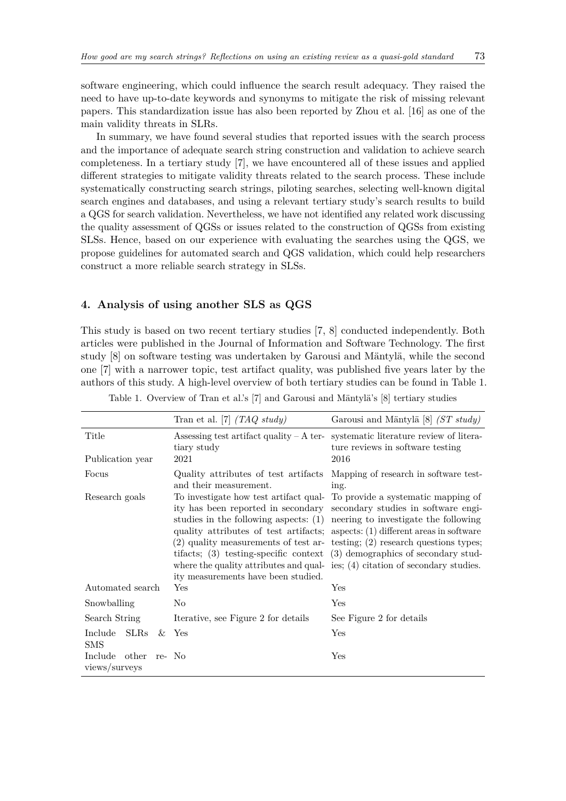software engineering, which could influence the search result adequacy. They raised the need to have up-to-date keywords and synonyms to mitigate the risk of missing relevant papers. This standardization issue has also been reported by Zhou et al. [\[16\]](#page-18-9) as one of the main validity threats in SLRs.

In summary, we have found several studies that reported issues with the search process and the importance of adequate search string construction and validation to achieve search completeness. In a tertiary study [\[7\]](#page-18-0), we have encountered all of these issues and applied different strategies to mitigate validity threats related to the search process. These include systematically constructing search strings, piloting searches, selecting well-known digital search engines and databases, and using a relevant tertiary study's search results to build a QGS for search validation. Nevertheless, we have not identified any related work discussing the quality assessment of QGSs or issues related to the construction of QGSs from existing SLSs. Hence, based on our experience with evaluating the searches using the QGS, we propose guidelines for automated search and QGS validation, which could help researchers construct a more reliable search strategy in SLSs.

## <span id="page-4-0"></span>**4. Analysis of using another SLS as QGS**

This study is based on two recent tertiary studies [\[7,](#page-18-0) [8\]](#page-18-1) conducted independently. Both articles were published in the Journal of Information and Software Technology. The first study [\[8\]](#page-18-1) on software testing was undertaken by Garousi and Mäntylä, while the second one [\[7\]](#page-18-0) with a narrower topic, test artifact quality, was published five years later by the authors of this study. A high-level overview of both tertiary studies can be found in Table [1.](#page-4-1)

|                                          | Tran et al. [7] $(TAQ$ study)                                                                                                                                                                                                                                                                                                                                                                                             | Garousi and Mäntylä [8] $(ST$ study)                                                                                                                                                        |
|------------------------------------------|---------------------------------------------------------------------------------------------------------------------------------------------------------------------------------------------------------------------------------------------------------------------------------------------------------------------------------------------------------------------------------------------------------------------------|---------------------------------------------------------------------------------------------------------------------------------------------------------------------------------------------|
| Title                                    | Assessing test artifact quality $-A$ ter-<br>tiary study                                                                                                                                                                                                                                                                                                                                                                  | systematic literature review of litera-<br>ture reviews in software testing                                                                                                                 |
| Publication year                         | 2021                                                                                                                                                                                                                                                                                                                                                                                                                      | 2016                                                                                                                                                                                        |
| Focus                                    | Quality attributes of test artifacts<br>and their measurement.                                                                                                                                                                                                                                                                                                                                                            | Mapping of research in software test-<br>ing.                                                                                                                                               |
| Research goals                           | studies in the following aspects: $(1)$<br>quality attributes of test artifacts; aspects: $(1)$ different areas in software<br>$(2)$ quality measurements of test ar- testing; $(2)$ research questions types;<br>tifacts; $(3)$ testing-specific context $(3)$ demographics of secondary stud-<br>where the quality attributes and qual-ies; $(4)$ citation of secondary studies.<br>ity measurements have been studied. | To investigate how test artifact qual- To provide a systematic mapping of<br>ity has been reported in secondary secondary studies in software engi-<br>neering to investigate the following |
| Automated search                         | Yes                                                                                                                                                                                                                                                                                                                                                                                                                       | Yes                                                                                                                                                                                         |
| Snowballing                              | No                                                                                                                                                                                                                                                                                                                                                                                                                        | Yes                                                                                                                                                                                         |
| Search String                            | Iterative, see Figure 2 for details                                                                                                                                                                                                                                                                                                                                                                                       | See Figure 2 for details                                                                                                                                                                    |
| Include<br><b>SLRs</b><br><b>SMS</b>     | $\&$ Yes                                                                                                                                                                                                                                                                                                                                                                                                                  | Yes                                                                                                                                                                                         |
| Include other<br>re- No<br>views/surveys |                                                                                                                                                                                                                                                                                                                                                                                                                           | Yes                                                                                                                                                                                         |

<span id="page-4-1"></span>Table 1. Overview of Tran et al.'s [\[7\]](#page-18-0) and Garousi and Mäntylä's [\[8\]](#page-18-1) tertiary studies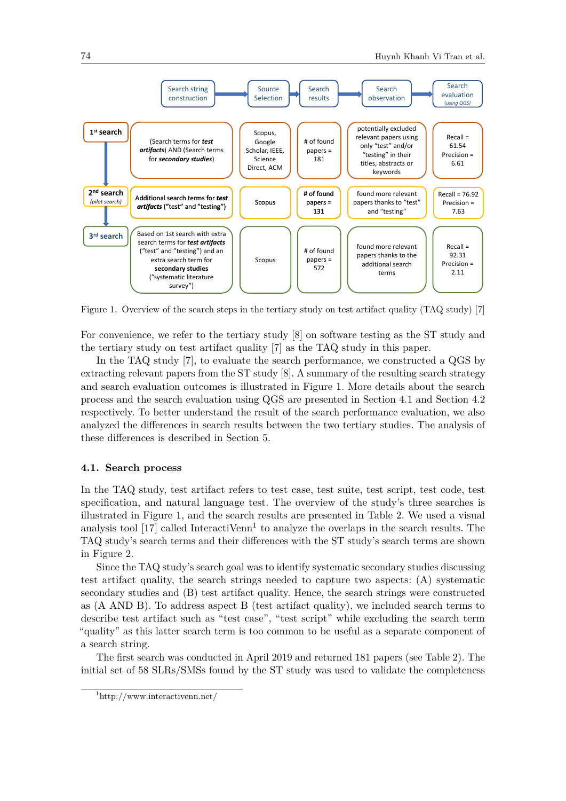

<span id="page-5-0"></span>Figure 1. Overview of the search steps in the tertiary study on test artifact quality (TAQ study) [\[7\]](#page-18-0)

For convenience, we refer to the tertiary study [\[8\]](#page-18-1) on software testing as the ST study and the tertiary study on test artifact quality [\[7\]](#page-18-0) as the TAQ study in this paper.

In the TAQ study [\[7\]](#page-18-0), to evaluate the search performance, we constructed a QGS by extracting relevant papers from the ST study [\[8\]](#page-18-1). A summary of the resulting search strategy and search evaluation outcomes is illustrated in Figure [1.](#page-5-0) More details about the search process and the search evaluation using QGS are presented in Section [4.1](#page-5-1) and Section [4.2](#page-8-0) respectively. To better understand the result of the search performance evaluation, we also analyzed the differences in search results between the two tertiary studies. The analysis of these differences is described in Section [5.](#page-10-0)

## <span id="page-5-1"></span>**4.1. Search process**

In the TAQ study, test artifact refers to test case, test suite, test script, test code, test specification, and natural language test. The overview of the study's three searches is illustrated in Figure [1,](#page-5-0) and the search results are presented in Table [2.](#page-6-1) We used a visual analysis tool [\[17\]](#page-18-10) called InteractiVenn<sup>[1](#page-5-2)</sup> to analyze the overlaps in the search results. The TAQ study's search terms and their differences with the ST study's search terms are shown in Figure [2.](#page-6-0)

Since the TAQ study's search goal was to identify systematic secondary studies discussing test artifact quality, the search strings needed to capture two aspects: (A) systematic secondary studies and (B) test artifact quality. Hence, the search strings were constructed as (A AND B). To address aspect B (test artifact quality), we included search terms to describe test artifact such as "test case", "test script" while excluding the search term "quality" as this latter search term is too common to be useful as a separate component of a search string.

The first search was conducted in April 2019 and returned 181 papers (see Table [2\)](#page-6-1). The initial set of 58 SLRs/SMSs found by the ST study was used to validate the completeness

<span id="page-5-2"></span><sup>1</sup><http://www.interactivenn.net/>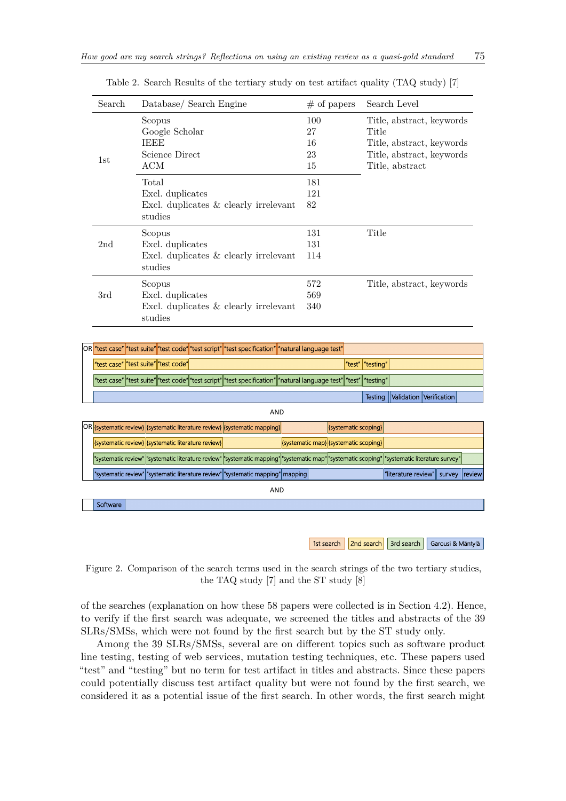| Search          | Database/ Search Engine                 | $#$ of papers | Search Level              |
|-----------------|-----------------------------------------|---------------|---------------------------|
|                 | Scopus                                  | 100           | Title, abstract, keywords |
|                 | Google Scholar                          | 27            | Title                     |
|                 | <b>IEEE</b>                             | 16            | Title, abstract, keywords |
|                 | Science Direct                          | 23            | Title, abstract, keywords |
| 1st             | ACM                                     | 15            | Title, abstract           |
|                 | Total                                   | 181           |                           |
|                 | Excl. duplicates                        | 121           |                           |
|                 | Excl. duplicates $&$ clearly irrelevant | 82            |                           |
|                 | studies                                 |               |                           |
|                 | Scopus                                  | 131           | Title                     |
| 2 <sub>nd</sub> | Excl. duplicates                        | 131           |                           |
|                 | Excl. duplicates $&$ clearly irrelevant | 114           |                           |
|                 | studies                                 |               |                           |
|                 | Scopus                                  | 572           | Title, abstract, keywords |
| 3rd             | Excl. duplicates                        | 569           |                           |
|                 | Excl. duplicates $&$ clearly irrelevant | 340           |                           |
|                 | studies                                 |               |                           |

<span id="page-6-1"></span>Table 2. Search Results of the tertiary study on test artifact quality (TAQ study) [\[7\]](#page-18-0)



1st search | 2nd search | 3rd search | Garousi & Mäntylä

<span id="page-6-0"></span>Figure 2. Comparison of the search terms used in the search strings of the two tertiary studies, the TAQ study [\[7\]](#page-18-0) and the ST study [\[8\]](#page-18-1)

of the searches (explanation on how these 58 papers were collected is in Section [4.2\)](#page-8-0). Hence, to verify if the first search was adequate, we screened the titles and abstracts of the 39 SLRs/SMSs, which were not found by the first search but by the ST study only.

Among the 39 SLRs/SMSs, several are on different topics such as software product line testing, testing of web services, mutation testing techniques, etc. These papers used "test" and "testing" but no term for test artifact in titles and abstracts. Since these papers could potentially discuss test artifact quality but were not found by the first search, we considered it as a potential issue of the first search. In other words, the first search might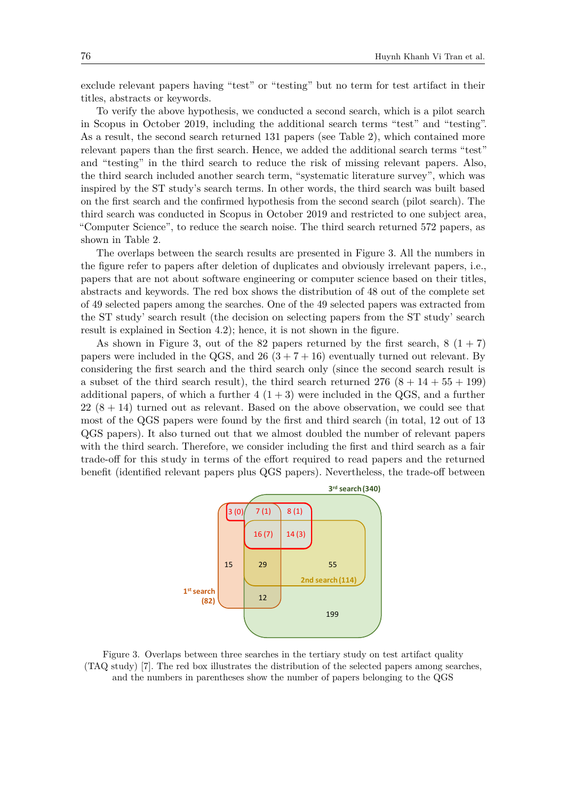exclude relevant papers having "test" or "testing" but no term for test artifact in their titles, abstracts or keywords.

To verify the above hypothesis, we conducted a second search, which is a pilot search in Scopus in October 2019, including the additional search terms "test" and "testing". As a result, the second search returned 131 papers (see Table [2\)](#page-6-1), which contained more relevant papers than the first search. Hence, we added the additional search terms "test" and "testing" in the third search to reduce the risk of missing relevant papers. Also, the third search included another search term, "systematic literature survey", which was inspired by the ST study's search terms. In other words, the third search was built based on the first search and the confirmed hypothesis from the second search (pilot search). The third search was conducted in Scopus in October 2019 and restricted to one subject area, "Computer Science", to reduce the search noise. The third search returned 572 papers, as shown in Table [2.](#page-6-1)

The overlaps between the search results are presented in Figure [3.](#page-7-0) All the numbers in the figure refer to papers after deletion of duplicates and obviously irrelevant papers, i.e., papers that are not about software engineering or computer science based on their titles, abstracts and keywords. The red box shows the distribution of 48 out of the complete set of 49 selected papers among the searches. One of the 49 selected papers was extracted from the ST study' search result (the decision on selecting papers from the ST study' search result is explained in Section [4.2\)](#page-8-0); hence, it is not shown in the figure.

As shown in Figure [3,](#page-7-0) out of the 82 papers returned by the first search,  $8(1+7)$ papers were included in the QGS, and  $26(3 + 7 + 16)$  eventually turned out relevant. By considering the first search and the third search only (since the second search result is a subset of the third search result), the third search returned  $276 (8 + 14 + 55 + 199)$ additional papers, of which a further  $4(1+3)$  were included in the QGS, and a further  $22(8+14)$  turned out as relevant. Based on the above observation, we could see that most of the QGS papers were found by the first and third search (in total, 12 out of 13 QGS papers). It also turned out that we almost doubled the number of relevant papers with the third search. Therefore, we consider including the first and third search as a fair trade-off for this study in terms of the effort required to read papers and the returned benefit (identified relevant papers plus QGS papers). Nevertheless, the trade-off between



<span id="page-7-0"></span>Figure 3. Overlaps between three searches in the tertiary study on test artifact quality (TAQ study) [\[7\]](#page-18-0). The red box illustrates the distribution of the selected papers among searches, and the numbers in parentheses show the number of papers belonging to the QGS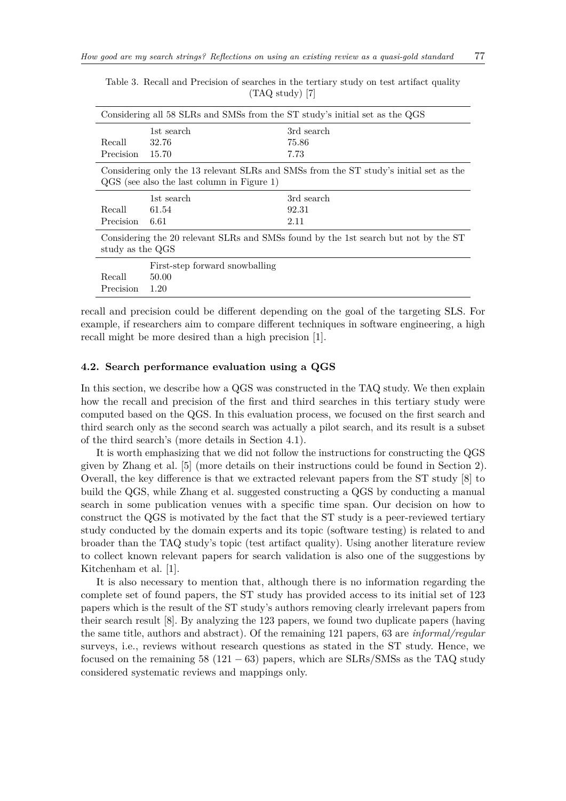| Considering all 58 SLRs and SMSs from the ST study's initial set as the QGS                                                           |                                |            |  |  |
|---------------------------------------------------------------------------------------------------------------------------------------|--------------------------------|------------|--|--|
|                                                                                                                                       | 1st search                     | 3rd search |  |  |
| Recall                                                                                                                                | 32.76                          | 75.86      |  |  |
| Precision                                                                                                                             | 15.70                          | 7.73       |  |  |
| Considering only the 13 relevant SLRs and SMSs from the ST study's initial set as the<br>$QGS$ (see also the last column in Figure 1) |                                |            |  |  |
|                                                                                                                                       | 1st search                     | 3rd search |  |  |
| Recall                                                                                                                                | 61.54                          | 92.31      |  |  |
| Precision                                                                                                                             | - 6.61                         | 2.11       |  |  |
| Considering the 20 relevant SLRs and SMSs found by the 1st search but not by the ST<br>study as the QGS                               |                                |            |  |  |
|                                                                                                                                       | First-step forward snowballing |            |  |  |
| Recall                                                                                                                                | 50.00                          |            |  |  |
| Precision                                                                                                                             | 1.20                           |            |  |  |

<span id="page-8-1"></span>Table 3. Recall and Precision of searches in the tertiary study on test artifact quality (TAQ study) [\[7\]](#page-18-0)

recall and precision could be different depending on the goal of the targeting SLS. For example, if researchers aim to compare different techniques in software engineering, a high recall might be more desired than a high precision [\[1\]](#page-17-0).

#### <span id="page-8-0"></span>**4.2. Search performance evaluation using a QGS**

In this section, we describe how a QGS was constructed in the TAQ study. We then explain how the recall and precision of the first and third searches in this tertiary study were computed based on the QGS. In this evaluation process, we focused on the first search and third search only as the second search was actually a pilot search, and its result is a subset of the third search's (more details in Section [4.1\)](#page-5-1).

It is worth emphasizing that we did not follow the instructions for constructing the QGS given by Zhang et al. [\[5\]](#page-17-4) (more details on their instructions could be found in Section [2\)](#page-1-0). Overall, the key difference is that we extracted relevant papers from the ST study [\[8\]](#page-18-1) to build the QGS, while Zhang et al. suggested constructing a QGS by conducting a manual search in some publication venues with a specific time span. Our decision on how to construct the QGS is motivated by the fact that the ST study is a peer-reviewed tertiary study conducted by the domain experts and its topic (software testing) is related to and broader than the TAQ study's topic (test artifact quality). Using another literature review to collect known relevant papers for search validation is also one of the suggestions by Kitchenham et al. [\[1\]](#page-17-0).

It is also necessary to mention that, although there is no information regarding the complete set of found papers, the ST study has provided access to its initial set of 123 papers which is the result of the ST study's authors removing clearly irrelevant papers from their search result [\[8\]](#page-18-1). By analyzing the 123 papers, we found two duplicate papers (having the same title, authors and abstract). Of the remaining 121 papers, 63 are *informal/regular* surveys, i.e., reviews without research questions as stated in the ST study. Hence, we focused on the remaining 58 (121  $-63$ ) papers, which are SLRs/SMSs as the TAQ study considered systematic reviews and mappings only.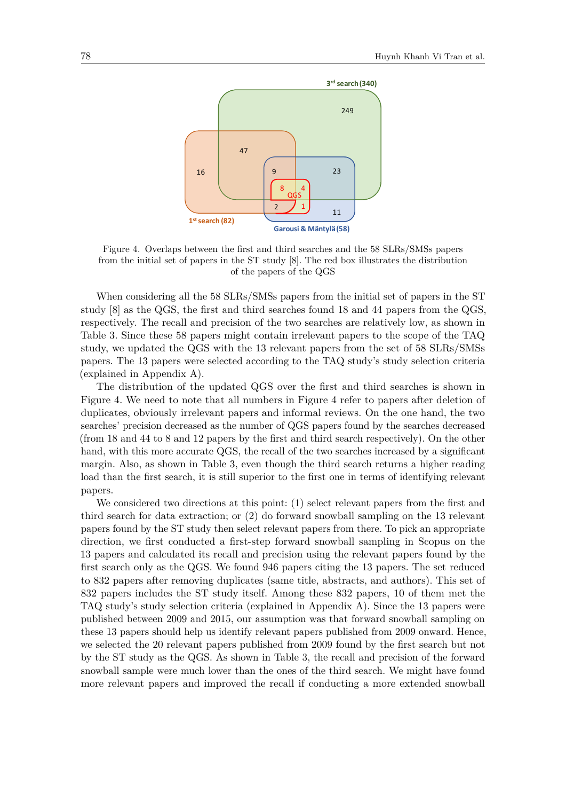

<span id="page-9-0"></span>Figure 4. Overlaps between the first and third searches and the 58 SLRs/SMSs papers from the initial set of papers in the ST study [\[8\]](#page-18-1). The red box illustrates the distribution of the papers of the QGS

When considering all the 58 SLRs/SMSs papers from the initial set of papers in the ST study [\[8\]](#page-18-1) as the QGS, the first and third searches found 18 and 44 papers from the QGS, respectively. The recall and precision of the two searches are relatively low, as shown in Table [3.](#page-8-1) Since these 58 papers might contain irrelevant papers to the scope of the TAQ study, we updated the QGS with the 13 relevant papers from the set of 58 SLRs/SMSs papers. The 13 papers were selected according to the TAQ study's study selection criteria (explained in Appendix [A\)](#page-20-1).

The distribution of the updated QGS over the first and third searches is shown in Figure [4.](#page-9-0) We need to note that all numbers in Figure [4](#page-9-0) refer to papers after deletion of duplicates, obviously irrelevant papers and informal reviews. On the one hand, the two searches' precision decreased as the number of QGS papers found by the searches decreased (from 18 and 44 to 8 and 12 papers by the first and third search respectively). On the other hand, with this more accurate QGS, the recall of the two searches increased by a significant margin. Also, as shown in Table [3,](#page-8-1) even though the third search returns a higher reading load than the first search, it is still superior to the first one in terms of identifying relevant papers.

We considered two directions at this point: (1) select relevant papers from the first and third search for data extraction; or (2) do forward snowball sampling on the 13 relevant papers found by the ST study then select relevant papers from there. To pick an appropriate direction, we first conducted a first-step forward snowball sampling in Scopus on the 13 papers and calculated its recall and precision using the relevant papers found by the first search only as the QGS. We found 946 papers citing the 13 papers. The set reduced to 832 papers after removing duplicates (same title, abstracts, and authors). This set of 832 papers includes the ST study itself. Among these 832 papers, 10 of them met the TAQ study's study selection criteria (explained in Appendix [A\)](#page-20-1). Since the 13 papers were published between 2009 and 2015, our assumption was that forward snowball sampling on these 13 papers should help us identify relevant papers published from 2009 onward. Hence, we selected the 20 relevant papers published from 2009 found by the first search but not by the ST study as the QGS. As shown in Table [3,](#page-8-1) the recall and precision of the forward snowball sample were much lower than the ones of the third search. We might have found more relevant papers and improved the recall if conducting a more extended snowball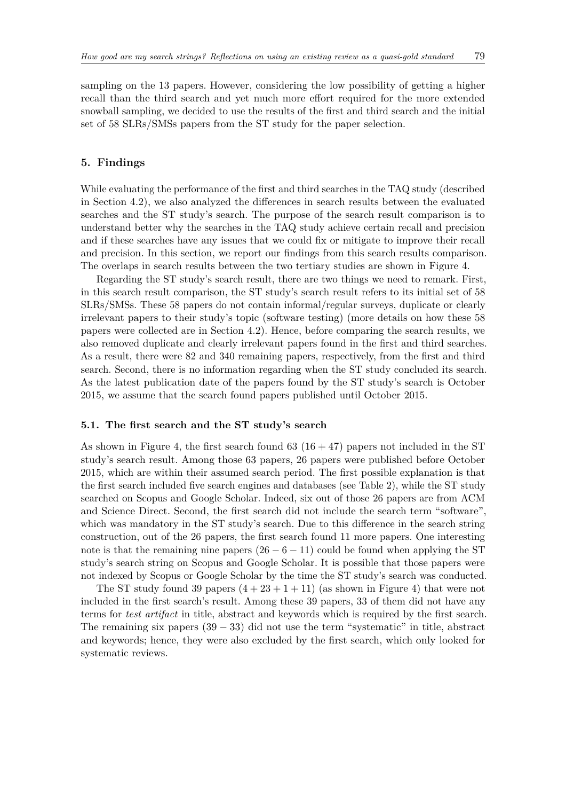sampling on the 13 papers. However, considering the low possibility of getting a higher recall than the third search and yet much more effort required for the more extended snowball sampling, we decided to use the results of the first and third search and the initial set of 58 SLRs/SMSs papers from the ST study for the paper selection.

## <span id="page-10-0"></span>**5. Findings**

While evaluating the performance of the first and third searches in the TAQ study (described in Section [4.2\)](#page-8-0), we also analyzed the differences in search results between the evaluated searches and the ST study's search. The purpose of the search result comparison is to understand better why the searches in the TAQ study achieve certain recall and precision and if these searches have any issues that we could fix or mitigate to improve their recall and precision. In this section, we report our findings from this search results comparison. The overlaps in search results between the two tertiary studies are shown in Figure [4.](#page-9-0)

Regarding the ST study's search result, there are two things we need to remark. First, in this search result comparison, the ST study's search result refers to its initial set of 58 SLRs/SMSs. These 58 papers do not contain informal/regular surveys, duplicate or clearly irrelevant papers to their study's topic (software testing) (more details on how these 58 papers were collected are in Section [4.2\)](#page-8-0). Hence, before comparing the search results, we also removed duplicate and clearly irrelevant papers found in the first and third searches. As a result, there were 82 and 340 remaining papers, respectively, from the first and third search. Second, there is no information regarding when the ST study concluded its search. As the latest publication date of the papers found by the ST study's search is October 2015, we assume that the search found papers published until October 2015.

## <span id="page-10-1"></span>**5.1. The first search and the ST study's search**

As shown in Figure [4,](#page-9-0) the first search found 63  $(16 + 47)$  papers not included in the ST study's search result. Among those 63 papers, 26 papers were published before October 2015, which are within their assumed search period. The first possible explanation is that the first search included five search engines and databases (see Table [2\)](#page-6-1), while the ST study searched on Scopus and Google Scholar. Indeed, six out of those 26 papers are from ACM and Science Direct. Second, the first search did not include the search term "software", which was mandatory in the ST study's search. Due to this difference in the search string construction, out of the 26 papers, the first search found 11 more papers. One interesting note is that the remaining nine papers  $(26 - 6 - 11)$  could be found when applying the ST study's search string on Scopus and Google Scholar. It is possible that those papers were not indexed by Scopus or Google Scholar by the time the ST study's search was conducted.

The ST study found 39 papers  $(4+23+1+11)$  (as shown in Figure [4\)](#page-9-0) that were not included in the first search's result. Among these 39 papers, 33 of them did not have any terms for *test artifact* in title, abstract and keywords which is required by the first search. The remaining six papers  $(39 - 33)$  did not use the term "systematic" in title, abstract and keywords; hence, they were also excluded by the first search, which only looked for systematic reviews.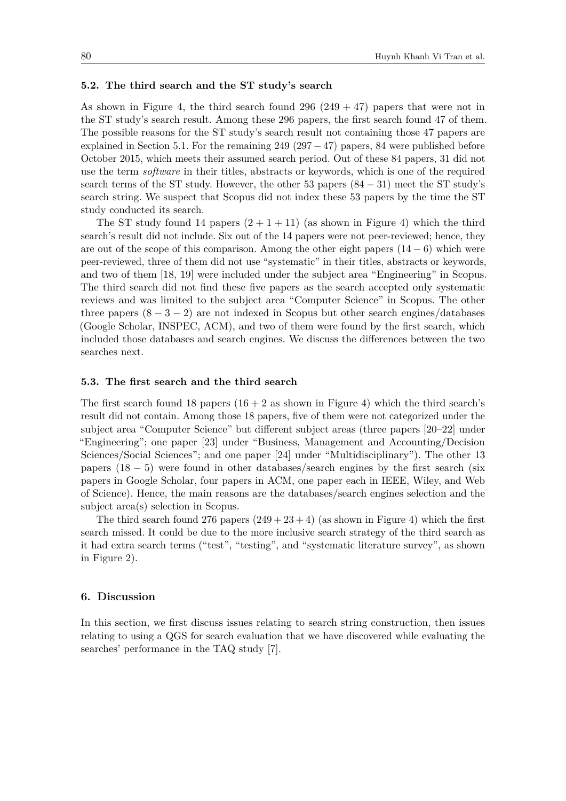#### <span id="page-11-1"></span>**5.2. The third search and the ST study's search**

As shown in Figure [4,](#page-9-0) the third search found  $296 (249 + 47)$  papers that were not in the ST study's search result. Among these 296 papers, the first search found 47 of them. The possible reasons for the ST study's search result not containing those 47 papers are explained in Section [5.1.](#page-10-1) For the remaining 249 (297  $-47$ ) papers, 84 were published before October 2015, which meets their assumed search period. Out of these 84 papers, 31 did not use the term *software* in their titles, abstracts or keywords, which is one of the required search terms of the ST study. However, the other 53 papers  $(84 - 31)$  meet the ST study's search string. We suspect that Scopus did not index these 53 papers by the time the ST study conducted its search.

The ST study found 14 papers  $(2 + 1 + 11)$  (as shown in Figure [4\)](#page-9-0) which the third search's result did not include. Six out of the 14 papers were not peer-reviewed; hence, they are out of the scope of this comparison. Among the other eight papers  $(14-6)$  which were peer-reviewed, three of them did not use "systematic" in their titles, abstracts or keywords, and two of them [\[18,](#page-18-11) [19\]](#page-18-12) were included under the subject area "Engineering" in Scopus. The third search did not find these five papers as the search accepted only systematic reviews and was limited to the subject area "Computer Science" in Scopus. The other three papers  $(8 - 3 - 2)$  are not indexed in Scopus but other search engines/databases (Google Scholar, INSPEC, ACM), and two of them were found by the first search, which included those databases and search engines. We discuss the differences between the two searches next.

#### <span id="page-11-2"></span>**5.3. The first search and the third search**

The first search found 18 papers  $(16 + 2$  as shown in Figure [4\)](#page-9-0) which the third search's result did not contain. Among those 18 papers, five of them were not categorized under the subject area "Computer Science" but different subject areas (three papers [\[20–](#page-18-13)[22\]](#page-18-14) under "Engineering"; one paper [\[23\]](#page-18-15) under "Business, Management and Accounting/Decision Sciences/Social Sciences"; and one paper [\[24\]](#page-18-16) under "Multidisciplinary"). The other 13 papers  $(18 - 5)$  were found in other databases/search engines by the first search (six papers in Google Scholar, four papers in ACM, one paper each in IEEE, Wiley, and Web of Science). Hence, the main reasons are the databases/search engines selection and the subject area(s) selection in Scopus.

The third search found 276 papers  $(249 + 23 + 4)$  $(249 + 23 + 4)$  (as shown in Figure 4) which the first search missed. It could be due to the more inclusive search strategy of the third search as it had extra search terms ("test", "testing", and "systematic literature survey", as shown in Figure [2\)](#page-6-0).

## <span id="page-11-0"></span>**6. Discussion**

In this section, we first discuss issues relating to search string construction, then issues relating to using a QGS for search evaluation that we have discovered while evaluating the searches' performance in the TAQ study [\[7\]](#page-18-0).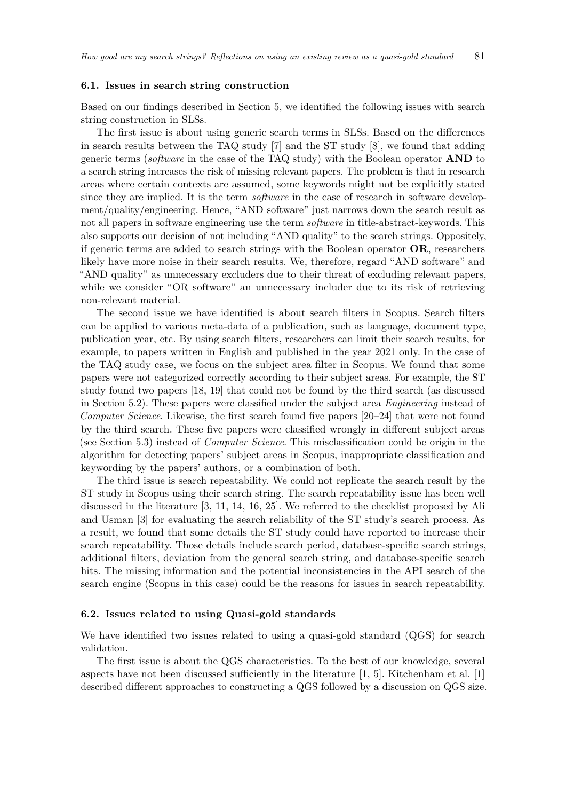#### **6.1. Issues in search string construction**

Based on our findings described in Section [5,](#page-10-0) we identified the following issues with search string construction in SLSs.

The first issue is about using generic search terms in SLSs. Based on the differences in search results between the TAQ study [\[7\]](#page-18-0) and the ST study [\[8\]](#page-18-1), we found that adding generic terms (*software* in the case of the TAQ study) with the Boolean operator **AND** to a search string increases the risk of missing relevant papers. The problem is that in research areas where certain contexts are assumed, some keywords might not be explicitly stated since they are implied. It is the term *software* in the case of research in software development/quality/engineering. Hence, "AND software" just narrows down the search result as not all papers in software engineering use the term *software* in title-abstract-keywords. This also supports our decision of not including "AND quality" to the search strings. Oppositely, if generic terms are added to search strings with the Boolean operator **OR**, researchers likely have more noise in their search results. We, therefore, regard "AND software" and "AND quality" as unnecessary excluders due to their threat of excluding relevant papers, while we consider "OR software" an unnecessary includer due to its risk of retrieving non-relevant material.

The second issue we have identified is about search filters in Scopus. Search filters can be applied to various meta-data of a publication, such as language, document type, publication year, etc. By using search filters, researchers can limit their search results, for example, to papers written in English and published in the year 2021 only. In the case of the TAQ study case, we focus on the subject area filter in Scopus. We found that some papers were not categorized correctly according to their subject areas. For example, the ST study found two papers [\[18,](#page-18-11) [19\]](#page-18-12) that could not be found by the third search (as discussed in Section [5.2\)](#page-11-1). These papers were classified under the subject area *Engineering* instead of *Computer Science*. Likewise, the first search found five papers [\[20](#page-18-13)[–24\]](#page-18-16) that were not found by the third search. These five papers were classified wrongly in different subject areas (see Section [5.3\)](#page-11-2) instead of *Computer Science*. This misclassification could be origin in the algorithm for detecting papers' subject areas in Scopus, inappropriate classification and keywording by the papers' authors, or a combination of both.

The third issue is search repeatability. We could not replicate the search result by the ST study in Scopus using their search string. The search repeatability issue has been well discussed in the literature [\[3,](#page-17-3) [11,](#page-18-5) [14,](#page-18-7) [16,](#page-18-9) [25\]](#page-18-17). We referred to the checklist proposed by Ali and Usman [\[3\]](#page-17-3) for evaluating the search reliability of the ST study's search process. As a result, we found that some details the ST study could have reported to increase their search repeatability. Those details include search period, database-specific search strings, additional filters, deviation from the general search string, and database-specific search hits. The missing information and the potential inconsistencies in the API search of the search engine (Scopus in this case) could be the reasons for issues in search repeatability.

#### <span id="page-12-0"></span>**6.2. Issues related to using Quasi-gold standards**

We have identified two issues related to using a quasi-gold standard (QGS) for search validation.

The first issue is about the QGS characteristics. To the best of our knowledge, several aspects have not been discussed sufficiently in the literature  $[1, 5]$  $[1, 5]$ . Kitchenham et al.  $[1]$ described different approaches to constructing a QGS followed by a discussion on QGS size.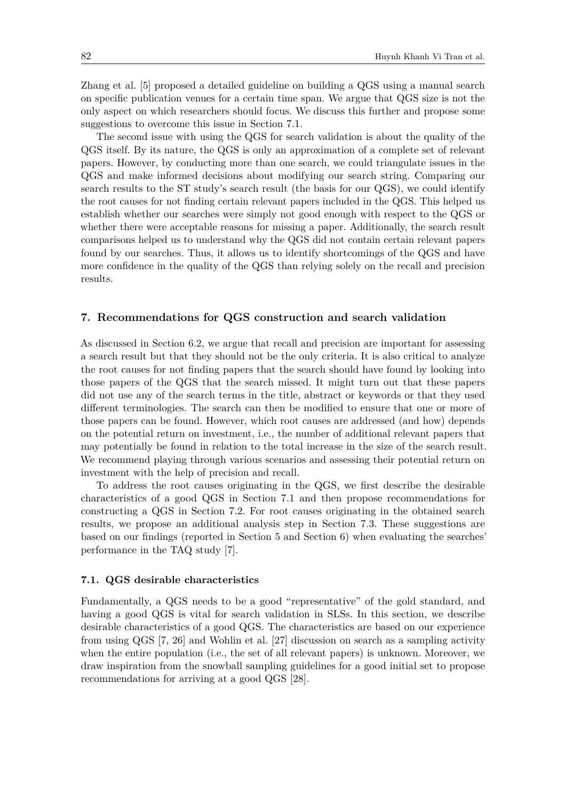Zhang et al. [\[5\]](#page-17-4) proposed a detailed guideline on building a QGS using a manual search on specific publication venues for a certain time span. We argue that QGS size is not the only aspect on which researchers should focus. We discuss this further and propose some suggestions to overcome this issue in Section [7.1.](#page-13-1)

The second issue with using the QGS for search validation is about the quality of the QGS itself. By its nature, the QGS is only an approximation of a complete set of relevant papers. However, by conducting more than one search, we could triangulate issues in the QGS and make informed decisions about modifying our search string. Comparing our search results to the ST study's search result (the basis for our QGS), we could identify the root causes for not finding certain relevant papers included in the QGS. This helped us establish whether our searches were simply not good enough with respect to the QGS or whether there were acceptable reasons for missing a paper. Additionally, the search result comparisons helped us to understand why the QGS did not contain certain relevant papers found by our searches. Thus, it allows us to identify shortcomings of the QGS and have more confidence in the quality of the QGS than relying solely on the recall and precision results.

## <span id="page-13-0"></span>**7. Recommendations for QGS construction and search validation**

As discussed in Section [6.2,](#page-12-0) we argue that recall and precision are important for assessing a search result but that they should not be the only criteria. It is also critical to analyze the root causes for not finding papers that the search should have found by looking into those papers of the QGS that the search missed. It might turn out that these papers did not use any of the search terms in the title, abstract or keywords or that they used different terminologies. The search can then be modified to ensure that one or more of those papers can be found. However, which root causes are addressed (and how) depends on the potential return on investment, i.e., the number of additional relevant papers that may potentially be found in relation to the total increase in the size of the search result. We recommend playing through various scenarios and assessing their potential return on investment with the help of precision and recall.

To address the root causes originating in the QGS, we first describe the desirable characteristics of a good QGS in Section [7.1](#page-13-1) and then propose recommendations for constructing a QGS in Section [7.2.](#page-14-0) For root causes originating in the obtained search results, we propose an additional analysis step in Section [7.3.](#page-15-0) These suggestions are based on our findings (reported in Section [5](#page-10-0) and Section [6\)](#page-11-0) when evaluating the searches' performance in the TAQ study [\[7\]](#page-18-0).

#### <span id="page-13-1"></span>**7.1. QGS desirable characteristics**

Fundamentally, a QGS needs to be a good "representative" of the gold standard, and having a good QGS is vital for search validation in SLSs. In this section, we describe desirable characteristics of a good QGS. The characteristics are based on our experience from using QGS [\[7,](#page-18-0) [26\]](#page-19-0) and Wohlin et al. [\[27\]](#page-19-1) discussion on search as a sampling activity when the entire population (i.e., the set of all relevant papers) is unknown. Moreover, we draw inspiration from the snowball sampling guidelines for a good initial set to propose recommendations for arriving at a good QGS [\[28\]](#page-19-2).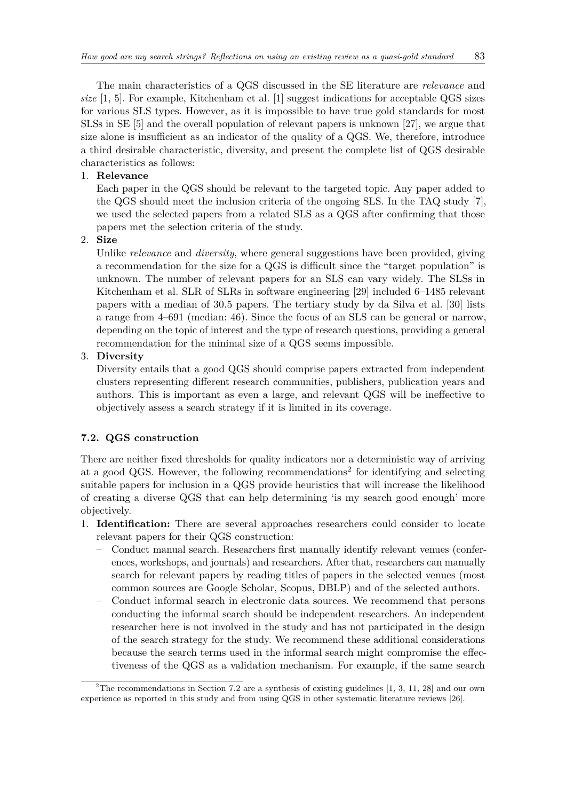The main characteristics of a QGS discussed in the SE literature are *relevance* and *size* [\[1,](#page-17-0) [5\]](#page-17-4). For example, Kitchenham et al. [\[1\]](#page-17-0) suggest indications for acceptable QGS sizes for various SLS types. However, as it is impossible to have true gold standards for most SLSs in SE [\[5\]](#page-17-4) and the overall population of relevant papers is unknown [\[27\]](#page-19-1), we argue that size alone is insufficient as an indicator of the quality of a QGS. We, therefore, introduce a third desirable characteristic, diversity, and present the complete list of QGS desirable characteristics as follows:

## 1. **Relevance**

Each paper in the QGS should be relevant to the targeted topic. Any paper added to the QGS should meet the inclusion criteria of the ongoing SLS. In the TAQ study [\[7\]](#page-18-0), we used the selected papers from a related SLS as a QGS after confirming that those papers met the selection criteria of the study.

2. **Size**

Unlike *relevance* and *diversity*, where general suggestions have been provided, giving a recommendation for the size for a QGS is difficult since the "target population" is unknown. The number of relevant papers for an SLS can vary widely. The SLSs in Kitchenham et al. SLR of SLRs in software engineering [\[29\]](#page-19-3) included 6–1485 relevant papers with a median of 30.5 papers. The tertiary study by da Silva et al. [\[30\]](#page-19-4) lists a range from 4–691 (median: 46). Since the focus of an SLS can be general or narrow, depending on the topic of interest and the type of research questions, providing a general recommendation for the minimal size of a QGS seems impossible.

## 3. **Diversity**

Diversity entails that a good QGS should comprise papers extracted from independent clusters representing different research communities, publishers, publication years and authors. This is important as even a large, and relevant QGS will be ineffective to objectively assess a search strategy if it is limited in its coverage.

## <span id="page-14-0"></span>**7.2. QGS construction**

There are neither fixed thresholds for quality indicators nor a deterministic way of arriving at a good QGS. However, the following recommendations<sup>[2](#page-14-1)</sup> for identifying and selecting suitable papers for inclusion in a QGS provide heuristics that will increase the likelihood of creating a diverse QGS that can help determining 'is my search good enough' more objectively.

- 1. **Identification:** There are several approaches researchers could consider to locate relevant papers for their QGS construction:
	- Conduct manual search. Researchers first manually identify relevant venues (conferences, workshops, and journals) and researchers. After that, researchers can manually search for relevant papers by reading titles of papers in the selected venues (most common sources are Google Scholar, Scopus, DBLP) and of the selected authors.
	- Conduct informal search in electronic data sources. We recommend that persons conducting the informal search should be independent researchers. An independent researcher here is not involved in the study and has not participated in the design of the search strategy for the study. We recommend these additional considerations because the search terms used in the informal search might compromise the effectiveness of the QGS as a validation mechanism. For example, if the same search

<span id="page-14-1"></span><sup>&</sup>lt;sup>2</sup>The recommendations in Section [7.2](#page-14-0) are a synthesis of existing guidelines  $[1, 3, 11, 28]$  $[1, 3, 11, 28]$  $[1, 3, 11, 28]$  $[1, 3, 11, 28]$  and our own experience as reported in this study and from using QGS in other systematic literature reviews [\[26\]](#page-19-0).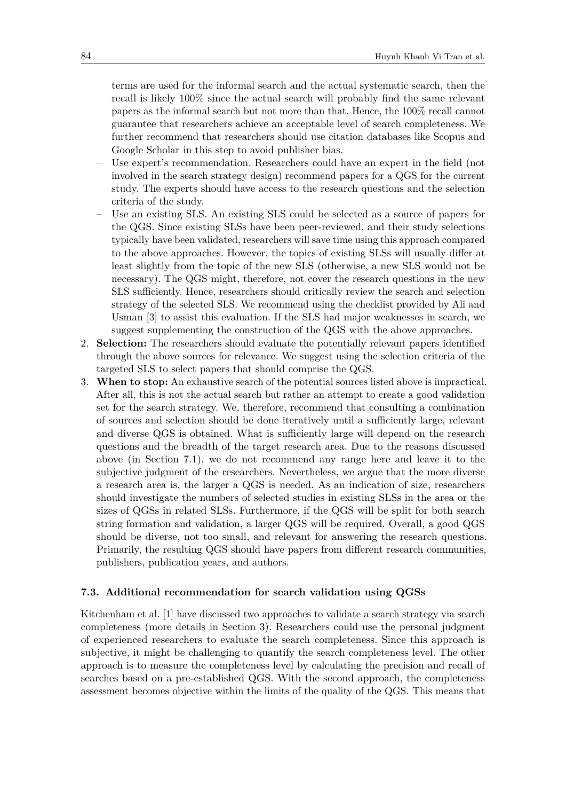terms are used for the informal search and the actual systematic search, then the recall is likely 100% since the actual search will probably find the same relevant papers as the informal search but not more than that. Hence, the 100% recall cannot guarantee that researchers achieve an acceptable level of search completeness. We further recommend that researchers should use citation databases like Scopus and Google Scholar in this step to avoid publisher bias.

- Use expert's recommendation. Researchers could have an expert in the field (not involved in the search strategy design) recommend papers for a QGS for the current study. The experts should have access to the research questions and the selection criteria of the study.
- Use an existing SLS. An existing SLS could be selected as a source of papers for the QGS. Since existing SLSs have been peer-reviewed, and their study selections typically have been validated, researchers will save time using this approach compared to the above approaches. However, the topics of existing SLSs will usually differ at least slightly from the topic of the new SLS (otherwise, a new SLS would not be necessary). The QGS might, therefore, not cover the research questions in the new SLS sufficiently. Hence, researchers should critically review the search and selection strategy of the selected SLS. We recommend using the checklist provided by Ali and Usman [\[3\]](#page-17-3) to assist this evaluation. If the SLS had major weaknesses in search, we suggest supplementing the construction of the QGS with the above approaches.
- 2. **Selection:** The researchers should evaluate the potentially relevant papers identified through the above sources for relevance. We suggest using the selection criteria of the targeted SLS to select papers that should comprise the QGS.
- 3. **When to stop:** An exhaustive search of the potential sources listed above is impractical. After all, this is not the actual search but rather an attempt to create a good validation set for the search strategy. We, therefore, recommend that consulting a combination of sources and selection should be done iteratively until a sufficiently large, relevant and diverse QGS is obtained. What is sufficiently large will depend on the research questions and the breadth of the target research area. Due to the reasons discussed above (in Section [7.1\)](#page-13-1), we do not recommend any range here and leave it to the subjective judgment of the researchers. Nevertheless, we argue that the more diverse a research area is, the larger a QGS is needed. As an indication of size, researchers should investigate the numbers of selected studies in existing SLSs in the area or the sizes of QGSs in related SLSs. Furthermore, if the QGS will be split for both search string formation and validation, a larger QGS will be required. Overall, a good QGS should be diverse, not too small, and relevant for answering the research questions. Primarily, the resulting QGS should have papers from different research communities, publishers, publication years, and authors.

#### <span id="page-15-0"></span>**7.3. Additional recommendation for search validation using QGSs**

Kitchenham et al. [\[1\]](#page-17-0) have discussed two approaches to validate a search strategy via search completeness (more details in Section [3\)](#page-2-0). Researchers could use the personal judgment of experienced researchers to evaluate the search completeness. Since this approach is subjective, it might be challenging to quantify the search completeness level. The other approach is to measure the completeness level by calculating the precision and recall of searches based on a pre-established QGS. With the second approach, the completeness assessment becomes objective within the limits of the quality of the QGS. This means that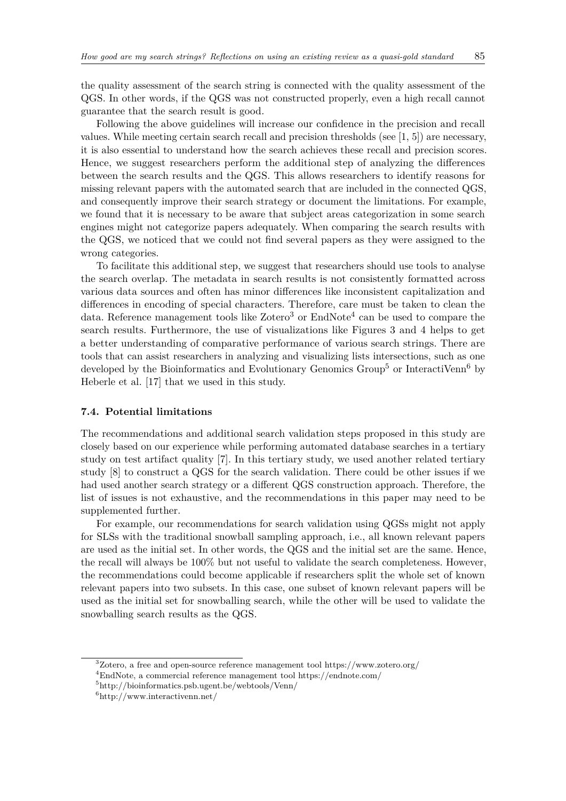the quality assessment of the search string is connected with the quality assessment of the QGS. In other words, if the QGS was not constructed properly, even a high recall cannot guarantee that the search result is good.

Following the above guidelines will increase our confidence in the precision and recall values. While meeting certain search recall and precision thresholds (see [\[1,](#page-17-0) [5\]](#page-17-4)) are necessary, it is also essential to understand how the search achieves these recall and precision scores. Hence, we suggest researchers perform the additional step of analyzing the differences between the search results and the QGS. This allows researchers to identify reasons for missing relevant papers with the automated search that are included in the connected QGS, and consequently improve their search strategy or document the limitations. For example, we found that it is necessary to be aware that subject areas categorization in some search engines might not categorize papers adequately. When comparing the search results with the QGS, we noticed that we could not find several papers as they were assigned to the wrong categories.

To facilitate this additional step, we suggest that researchers should use tools to analyse the search overlap. The metadata in search results is not consistently formatted across various data sources and often has minor differences like inconsistent capitalization and differences in encoding of special characters. Therefore, care must be taken to clean the data. Reference management tools like  $Zotero<sup>3</sup>$  $Zotero<sup>3</sup>$  $Zotero<sup>3</sup>$  or  $EndNote<sup>4</sup>$  $EndNote<sup>4</sup>$  $EndNote<sup>4</sup>$  can be used to compare the search results. Furthermore, the use of visualizations like Figures [3](#page-7-0) and [4](#page-9-0) helps to get a better understanding of comparative performance of various search strings. There are tools that can assist researchers in analyzing and visualizing lists intersections, such as one developed by the Bioinformatics and Evolutionary Genomics Group<sup>[5](#page-16-2)</sup> or InteractiVenn<sup>[6](#page-16-3)</sup> by Heberle et al. [\[17\]](#page-18-10) that we used in this study.

## **7.4. Potential limitations**

The recommendations and additional search validation steps proposed in this study are closely based on our experience while performing automated database searches in a tertiary study on test artifact quality [\[7\]](#page-18-0). In this tertiary study, we used another related tertiary study [\[8\]](#page-18-1) to construct a QGS for the search validation. There could be other issues if we had used another search strategy or a different QGS construction approach. Therefore, the list of issues is not exhaustive, and the recommendations in this paper may need to be supplemented further.

For example, our recommendations for search validation using QGSs might not apply for SLSs with the traditional snowball sampling approach, i.e., all known relevant papers are used as the initial set. In other words, the QGS and the initial set are the same. Hence, the recall will always be 100% but not useful to validate the search completeness. However, the recommendations could become applicable if researchers split the whole set of known relevant papers into two subsets. In this case, one subset of known relevant papers will be used as the initial set for snowballing search, while the other will be used to validate the snowballing search results as the QGS.

<span id="page-16-0"></span><sup>&</sup>lt;sup>3</sup>Zotero, a free and open-source reference management tool<https://www.zotero.org/>

<span id="page-16-1"></span><sup>4</sup>EndNote, a commercial reference management tool<https://endnote.com/>

<span id="page-16-2"></span><sup>5</sup><http://bioinformatics.psb.ugent.be/webtools/Venn/>

<span id="page-16-3"></span> $6$ <http://www.interactivenn.net/>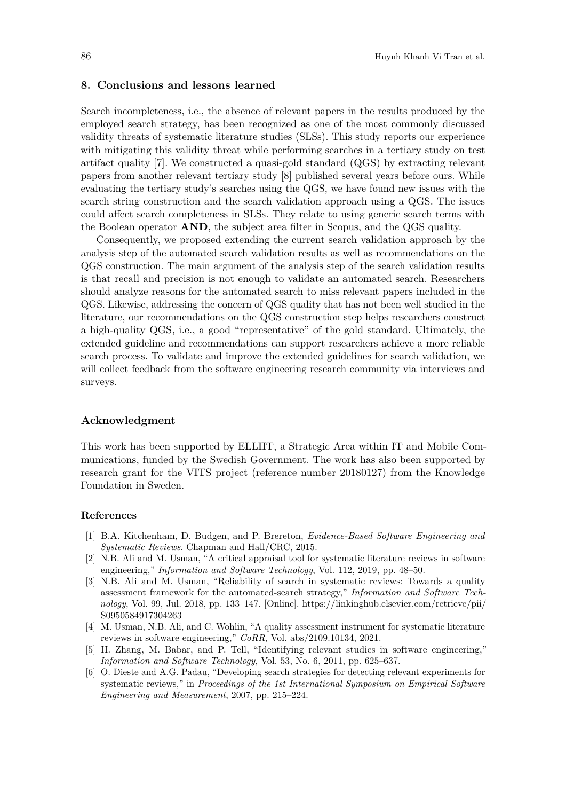## <span id="page-17-6"></span>**8. Conclusions and lessons learned**

Search incompleteness, i.e., the absence of relevant papers in the results produced by the employed search strategy, has been recognized as one of the most commonly discussed validity threats of systematic literature studies (SLSs). This study reports our experience with mitigating this validity threat while performing searches in a tertiary study on test artifact quality [\[7\]](#page-18-0). We constructed a quasi-gold standard (QGS) by extracting relevant papers from another relevant tertiary study [\[8\]](#page-18-1) published several years before ours. While evaluating the tertiary study's searches using the QGS, we have found new issues with the search string construction and the search validation approach using a QGS. The issues could affect search completeness in SLSs. They relate to using generic search terms with the Boolean operator **AND**, the subject area filter in Scopus, and the QGS quality.

Consequently, we proposed extending the current search validation approach by the analysis step of the automated search validation results as well as recommendations on the QGS construction. The main argument of the analysis step of the search validation results is that recall and precision is not enough to validate an automated search. Researchers should analyze reasons for the automated search to miss relevant papers included in the QGS. Likewise, addressing the concern of QGS quality that has not been well studied in the literature, our recommendations on the QGS construction step helps researchers construct a high-quality QGS, i.e., a good "representative" of the gold standard. Ultimately, the extended guideline and recommendations can support researchers achieve a more reliable search process. To validate and improve the extended guidelines for search validation, we will collect feedback from the software engineering research community via interviews and surveys.

## **Acknowledgment**

This work has been supported by ELLIIT, a Strategic Area within IT and Mobile Communications, funded by the Swedish Government. The work has also been supported by research grant for the VITS project (reference number 20180127) from the Knowledge Foundation in Sweden.

#### **References**

- <span id="page-17-0"></span>[1] B.A. Kitchenham, D. Budgen, and P. Brereton, *Evidence-Based Software Engineering and Systematic Reviews*. Chapman and Hall/CRC, 2015.
- <span id="page-17-1"></span>[2] N.B. Ali and M. Usman, "A critical appraisal tool for systematic literature reviews in software engineering," *Information and Software Technology*, Vol. 112, 2019, pp. 48–50.
- <span id="page-17-3"></span>[3] N.B. Ali and M. Usman, "Reliability of search in systematic reviews: Towards a quality assessment framework for the automated-search strategy," *Information and Software Technology*, Vol. 99, Jul. 2018, pp. 133–147. [Online]. [https://linkinghub.elsevier.com/retrieve/pii/](https://linkinghub.elsevier.com/retrieve/pii/S0950584917304263) [S0950584917304263](https://linkinghub.elsevier.com/retrieve/pii/S0950584917304263)
- <span id="page-17-2"></span>[4] M. Usman, N.B. Ali, and C. Wohlin, "A quality assessment instrument for systematic literature reviews in software engineering," *CoRR*, Vol. abs/2109.10134, 2021.
- <span id="page-17-4"></span>[5] H. Zhang, M. Babar, and P. Tell, "Identifying relevant studies in software engineering," *Information and Software Technology*, Vol. 53, No. 6, 2011, pp. 625–637.
- <span id="page-17-5"></span>[6] O. Dieste and A.G. Padau, "Developing search strategies for detecting relevant experiments for systematic reviews," in *Proceedings of the 1st International Symposium on Empirical Software Engineering and Measurement*, 2007, pp. 215–224.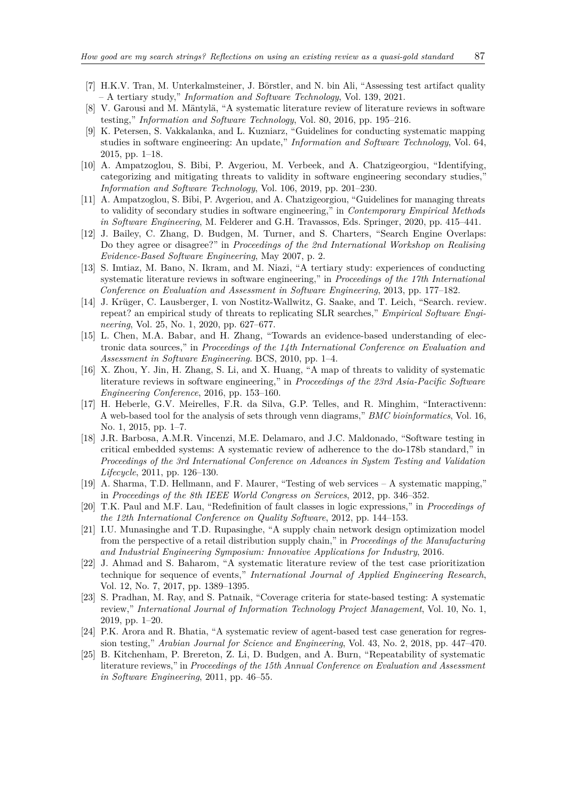- <span id="page-18-0"></span>[7] H.K.V. Tran, M. Unterkalmsteiner, J. Börstler, and N. bin Ali, "Assessing test artifact quality – A tertiary study," *Information and Software Technology*, Vol. 139, 2021.
- <span id="page-18-1"></span>[8] V. Garousi and M. Mäntylä, "A systematic literature review of literature reviews in software testing," *Information and Software Technology*, Vol. 80, 2016, pp. 195–216.
- <span id="page-18-2"></span>[9] K. Petersen, S. Vakkalanka, and L. Kuzniarz, "Guidelines for conducting systematic mapping studies in software engineering: An update," *Information and Software Technology*, Vol. 64, 2015, pp. 1–18.
- <span id="page-18-3"></span>[10] A. Ampatzoglou, S. Bibi, P. Avgeriou, M. Verbeek, and A. Chatzigeorgiou, "Identifying, categorizing and mitigating threats to validity in software engineering secondary studies," *Information and Software Technology*, Vol. 106, 2019, pp. 201–230.
- <span id="page-18-5"></span>[11] A. Ampatzoglou, S. Bibi, P. Avgeriou, and A. Chatzigeorgiou, "Guidelines for managing threats to validity of secondary studies in software engineering," in *Contemporary Empirical Methods in Software Engineering*, M. Felderer and G.H. Travassos, Eds. Springer, 2020, pp. 415–441.
- <span id="page-18-6"></span>[12] J. Bailey, C. Zhang, D. Budgen, M. Turner, and S. Charters, "Search Engine Overlaps: Do they agree or disagree?" in *Proceedings of the 2nd International Workshop on Realising Evidence-Based Software Engineering*, May 2007, p. 2.
- <span id="page-18-4"></span>[13] S. Imtiaz, M. Bano, N. Ikram, and M. Niazi, "A tertiary study: experiences of conducting systematic literature reviews in software engineering," in *Proceedings of the 17th International Conference on Evaluation and Assessment in Software Engineering*, 2013, pp. 177–182.
- <span id="page-18-7"></span>[14] J. Krüger, C. Lausberger, I. von Nostitz-Wallwitz, G. Saake, and T. Leich, "Search. review. repeat? an empirical study of threats to replicating SLR searches," *Empirical Software Engineering*, Vol. 25, No. 1, 2020, pp. 627–677.
- <span id="page-18-8"></span>[15] L. Chen, M.A. Babar, and H. Zhang, "Towards an evidence-based understanding of electronic data sources," in *Proceedings of the 14th International Conference on Evaluation and Assessment in Software Engineering*. BCS, 2010, pp. 1–4.
- <span id="page-18-9"></span>[16] X. Zhou, Y. Jin, H. Zhang, S. Li, and X. Huang, "A map of threats to validity of systematic literature reviews in software engineering," in *Proceedings of the 23rd Asia-Pacific Software Engineering Conference*, 2016, pp. 153–160.
- <span id="page-18-10"></span>[17] H. Heberle, G.V. Meirelles, F.R. da Silva, G.P. Telles, and R. Minghim, "Interactivenn: A web-based tool for the analysis of sets through venn diagrams," *BMC bioinformatics*, Vol. 16, No. 1, 2015, pp. 1–7.
- <span id="page-18-11"></span>[18] J.R. Barbosa, A.M.R. Vincenzi, M.E. Delamaro, and J.C. Maldonado, "Software testing in critical embedded systems: A systematic review of adherence to the do-178b standard," in *Proceedings of the 3rd International Conference on Advances in System Testing and Validation Lifecycle*, 2011, pp. 126–130.
- <span id="page-18-12"></span>[19] A. Sharma, T.D. Hellmann, and F. Maurer, "Testing of web services – A systematic mapping," in *Proceedings of the 8th IEEE World Congress on Services*, 2012, pp. 346–352.
- <span id="page-18-13"></span>[20] T.K. Paul and M.F. Lau, "Redefinition of fault classes in logic expressions," in *Proceedings of the 12th International Conference on Quality Software*, 2012, pp. 144–153.
- [21] I.U. Munasinghe and T.D. Rupasinghe, "A supply chain network design optimization model from the perspective of a retail distribution supply chain," in *Proceedings of the Manufacturing and Industrial Engineering Symposium: Innovative Applications for Industry*, 2016.
- <span id="page-18-14"></span>[22] J. Ahmad and S. Baharom, "A systematic literature review of the test case prioritization technique for sequence of events," *International Journal of Applied Engineering Research*, Vol. 12, No. 7, 2017, pp. 1389–1395.
- <span id="page-18-15"></span>[23] S. Pradhan, M. Ray, and S. Patnaik, "Coverage criteria for state-based testing: A systematic review," *International Journal of Information Technology Project Management*, Vol. 10, No. 1, 2019, pp. 1–20.
- <span id="page-18-16"></span>[24] P.K. Arora and R. Bhatia, "A systematic review of agent-based test case generation for regression testing," *Arabian Journal for Science and Engineering*, Vol. 43, No. 2, 2018, pp. 447–470.
- <span id="page-18-17"></span>[25] B. Kitchenham, P. Brereton, Z. Li, D. Budgen, and A. Burn, "Repeatability of systematic literature reviews," in *Proceedings of the 15th Annual Conference on Evaluation and Assessment in Software Engineering*, 2011, pp. 46–55.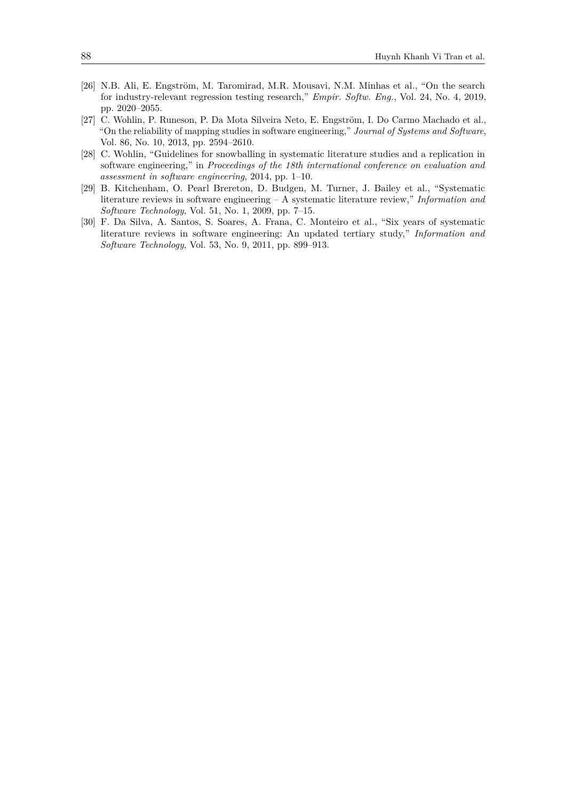- <span id="page-19-0"></span>[26] N.B. Ali, E. Engström, M. Taromirad, M.R. Mousavi, N.M. Minhas et al., "On the search for industry-relevant regression testing research," *Empir. Softw. Eng.*, Vol. 24, No. 4, 2019, pp. 2020–2055.
- <span id="page-19-1"></span>[27] C. Wohlin, P. Runeson, P. Da Mota Silveira Neto, E. Engström, I. Do Carmo Machado et al., "On the reliability of mapping studies in software engineering," *Journal of Systems and Software*, Vol. 86, No. 10, 2013, pp. 2594–2610.
- <span id="page-19-2"></span>[28] C. Wohlin, "Guidelines for snowballing in systematic literature studies and a replication in software engineering," in *Proceedings of the 18th international conference on evaluation and assessment in software engineering*, 2014, pp. 1–10.
- <span id="page-19-3"></span>[29] B. Kitchenham, O. Pearl Brereton, D. Budgen, M. Turner, J. Bailey et al., "Systematic literature reviews in software engineering – A systematic literature review," *Information and Software Technology*, Vol. 51, No. 1, 2009, pp. 7–15.
- <span id="page-19-4"></span>[30] F. Da Silva, A. Santos, S. Soares, A. Frana, C. Monteiro et al., "Six years of systematic literature reviews in software engineering: An updated tertiary study," *Information and Software Technology*, Vol. 53, No. 9, 2011, pp. 899–913.